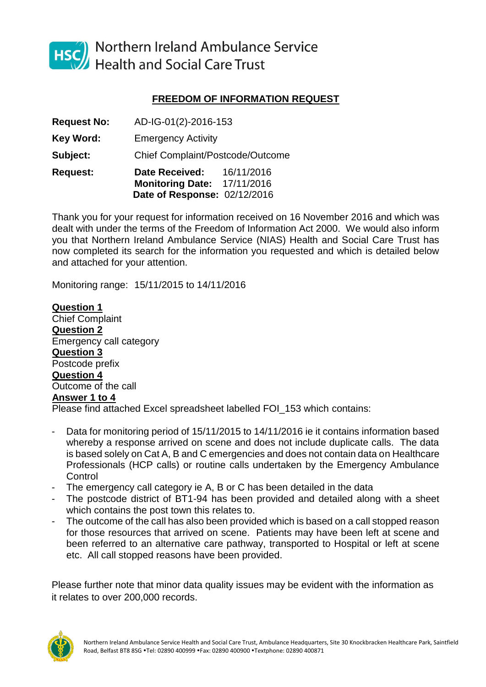

HSC Northern Ireland Ambulance Service<br>Health and Social Care Trust

## **FREEDOM OF INFORMATION REQUEST**

**Request No:** AD-IG-01(2)-2016-153 **Key Word:** Emergency Activity

**Subject:** Chief Complaint/Postcode/Outcome

**Request: Date Received:** 16/11/2016 **Monitoring Date:** 17/11/2016 **Date of Response:** 02/12/2016

Thank you for your request for information received on 16 November 2016 and which was dealt with under the terms of the Freedom of Information Act 2000. We would also inform you that Northern Ireland Ambulance Service (NIAS) Health and Social Care Trust has now completed its search for the information you requested and which is detailed below and attached for your attention.

Monitoring range: 15/11/2015 to 14/11/2016

**Question 1** Chief Complaint **Question 2** Emergency call category **Question 3** Postcode prefix **Question 4** Outcome of the call **Answer 1 to 4** Please find attached Excel spreadsheet labelled FOI\_153 which contains:

- Data for monitoring period of 15/11/2015 to 14/11/2016 ie it contains information based whereby a response arrived on scene and does not include duplicate calls. The data is based solely on Cat A, B and C emergencies and does not contain data on Healthcare Professionals (HCP calls) or routine calls undertaken by the Emergency Ambulance **Control**
- The emergency call category ie A, B or C has been detailed in the data
- The postcode district of BT1-94 has been provided and detailed along with a sheet which contains the post town this relates to.
- The outcome of the call has also been provided which is based on a call stopped reason for those resources that arrived on scene. Patients may have been left at scene and been referred to an alternative care pathway, transported to Hospital or left at scene etc. All call stopped reasons have been provided.

Please further note that minor data quality issues may be evident with the information as it relates to over 200,000 records.